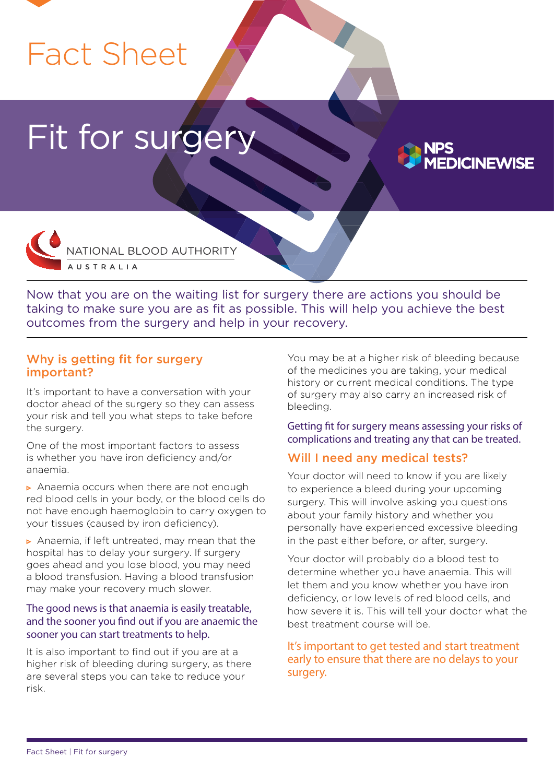# Fact Sheet

# Fit for surger



Now that you are on the waiting list for surgery there are actions you should be taking to make sure you are as fit as possible. This will help you achieve the best outcomes from the surgery and help in your recovery.

#### Why is getting fit for surgery important?

It's important to have a conversation with your doctor ahead of the surgery so they can assess your risk and tell you what steps to take before the surgery.

One of the most important factors to assess is whether you have iron deficiency and/or anaemia.

Anaemia occurs when there are not enough red blood cells in your body, or the blood cells do not have enough haemoglobin to carry oxygen to your tissues (caused by iron deficiency).

Anaemia, if left untreated, may mean that the hospital has to delay your surgery. If surgery goes ahead and you lose blood, you may need a blood transfusion. Having a blood transfusion may make your recovery much slower.

#### The good news is that anaemia is easily treatable, and the sooner you find out if you are anaemic the sooner you can start treatments to help.

It is also important to find out if you are at a higher risk of bleeding during surgery, as there are several steps you can take to reduce your risk.

You may be at a higher risk of bleeding because of the medicines you are taking, your medical history or current medical conditions. The type of surgery may also carry an increased risk of bleeding.

**ICINEWISE** 

Getting fit for surgery means assessing your risks of complications and treating any that can be treated.

## Will I need any medical tests?

Your doctor will need to know if you are likely to experience a bleed during your upcoming surgery. This will involve asking you questions about your family history and whether you personally have experienced excessive bleeding in the past either before, or after, surgery.

Your doctor will probably do a blood test to determine whether you have anaemia. This will let them and you know whether you have iron deficiency, or low levels of red blood cells, and how severe it is. This will tell your doctor what the best treatment course will be.

It's important to get tested and start treatment early to ensure that there are no delays to your surgery.